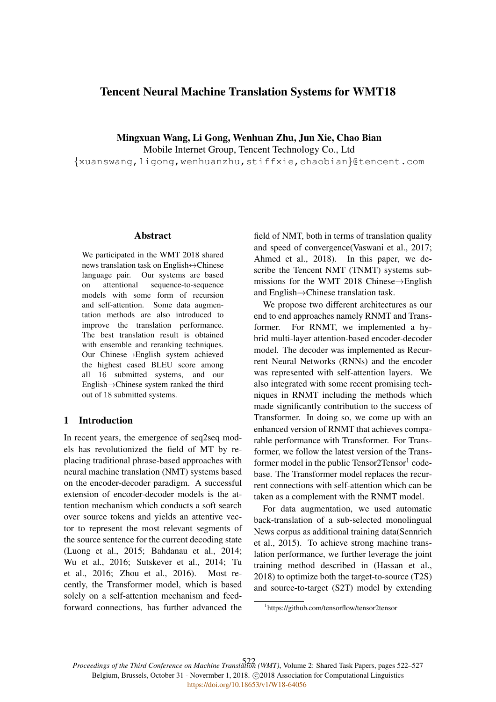# Tencent Neural Machine Translation Systems for WMT18

Mingxuan Wang, Li Gong, Wenhuan Zhu, Jun Xie, Chao Bian Mobile Internet Group, Tencent Technology Co., Ltd {xuanswang,ligong,wenhuanzhu,stiffxie,chaobian}@tencent.com

#### Abstract

We participated in the WMT 2018 shared news translation task on English↔Chinese language pair. Our systems are based on attentional sequence-to-sequence models with some form of recursion and self-attention. Some data augmentation methods are also introduced to improve the translation performance. The best translation result is obtained with ensemble and reranking techniques. Our Chinese→English system achieved the highest cased BLEU score among all 16 submitted systems, and our English→Chinese system ranked the third out of 18 submitted systems.

#### 1 Introduction

In recent years, the emergence of seq2seq models has revolutionized the field of MT by replacing traditional phrase-based approaches with neural machine translation (NMT) systems based on the encoder-decoder paradigm. A successful extension of encoder-decoder models is the attention mechanism which conducts a soft search over source tokens and yields an attentive vector to represent the most relevant segments of the source sentence for the current decoding state (Luong et al., 2015; Bahdanau et al., 2014; Wu et al., 2016; Sutskever et al., 2014; Tu et al., 2016; Zhou et al., 2016). Most recently, the Transformer model, which is based solely on a self-attention mechanism and feedforward connections, has further advanced the field of NMT, both in terms of translation quality and speed of convergence(Vaswani et al., 2017; Ahmed et al., 2018). In this paper, we describe the Tencent NMT (TNMT) systems submissions for the WMT 2018 Chinese→English and English→Chinese translation task.

We propose two different architectures as our end to end approaches namely RNMT and Transformer. For RNMT, we implemented a hybrid multi-layer attention-based encoder-decoder model. The decoder was implemented as Recurrent Neural Networks (RNNs) and the encoder was represented with self-attention layers. We also integrated with some recent promising techniques in RNMT including the methods which made significantly contribution to the success of Transformer. In doing so, we come up with an enhanced version of RNMT that achieves comparable performance with Transformer. For Transformer, we follow the latest version of the Transformer model in the public Tensor2Tensor<sup>1</sup> codebase. The Transformer model replaces the recurrent connections with self-attention which can be taken as a complement with the RNMT model.

For data augmentation, we used automatic back-translation of a sub-selected monolingual News corpus as additional training data(Sennrich et al., 2015). To achieve strong machine translation performance, we further leverage the joint training method described in (Hassan et al., 2018) to optimize both the target-to-source (T2S) and source-to-target (S2T) model by extending

*Proceedings of the Third Conference on Machine Translation (WMT)*, Volume 2: Shared Task Papers, pages 522–527 522Belgium, Brussels, October 31 - Novermber 1, 2018. @2018 Association for Computational Linguistics <https://doi.org/10.18653/v1/W18-64056>

<sup>1</sup> https://github.com/tensorflow/tensor2tensor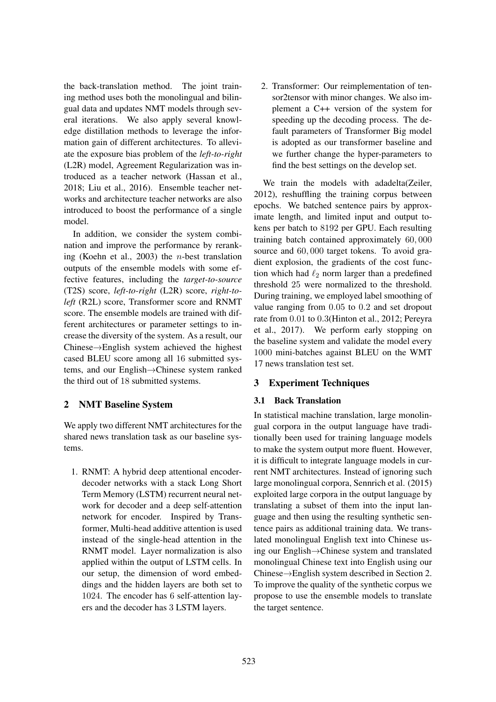the back-translation method. The joint training method uses both the monolingual and bilingual data and updates NMT models through several iterations. We also apply several knowledge distillation methods to leverage the information gain of different architectures. To alleviate the exposure bias problem of the *left-to-right* (L2R) model, Agreement Regularization was introduced as a teacher network (Hassan et al., 2018; Liu et al., 2016). Ensemble teacher networks and architecture teacher networks are also introduced to boost the performance of a single model.

In addition, we consider the system combination and improve the performance by reranking (Koehn et al., 2003) the n-best translation outputs of the ensemble models with some effective features, including the *target-to-source* (T2S) score, *left-to-right* (L2R) score, *right-toleft* (R2L) score, Transformer score and RNMT score. The ensemble models are trained with different architectures or parameter settings to increase the diversity of the system. As a result, our Chinese→English system achieved the highest cased BLEU score among all 16 submitted systems, and our English→Chinese system ranked the third out of 18 submitted systems.

# 2 NMT Baseline System

We apply two different NMT architectures for the shared news translation task as our baseline systems.

1. RNMT: A hybrid deep attentional encoderdecoder networks with a stack Long Short Term Memory (LSTM) recurrent neural network for decoder and a deep self-attention network for encoder. Inspired by Transformer, Multi-head additive attention is used instead of the single-head attention in the RNMT model. Layer normalization is also applied within the output of LSTM cells. In our setup, the dimension of word embeddings and the hidden layers are both set to 1024. The encoder has 6 self-attention layers and the decoder has 3 LSTM layers.

2. Transformer: Our reimplementation of tensor2tensor with minor changes. We also implement a C++ version of the system for speeding up the decoding process. The default parameters of Transformer Big model is adopted as our transformer baseline and we further change the hyper-parameters to find the best settings on the develop set.

We train the models with adadelta(Zeiler, 2012), reshuffling the training corpus between epochs. We batched sentence pairs by approximate length, and limited input and output tokens per batch to 8192 per GPU. Each resulting training batch contained approximately 60, 000 source and 60, 000 target tokens. To avoid gradient explosion, the gradients of the cost function which had  $\ell_2$  norm larger than a predefined threshold 25 were normalized to the threshold. During training, we employed label smoothing of value ranging from 0.05 to 0.2 and set dropout rate from 0.01 to 0.3(Hinton et al., 2012; Pereyra et al., 2017). We perform early stopping on the baseline system and validate the model every 1000 mini-batches against BLEU on the WMT 17 news translation test set.

# 3 Experiment Techniques

# 3.1 Back Translation

In statistical machine translation, large monolingual corpora in the output language have traditionally been used for training language models to make the system output more fluent. However, it is difficult to integrate language models in current NMT architectures. Instead of ignoring such large monolingual corpora, Sennrich et al. (2015) exploited large corpora in the output language by translating a subset of them into the input language and then using the resulting synthetic sentence pairs as additional training data. We translated monolingual English text into Chinese using our English→Chinese system and translated monolingual Chinese text into English using our Chinese→English system described in Section 2. To improve the quality of the synthetic corpus we propose to use the ensemble models to translate the target sentence.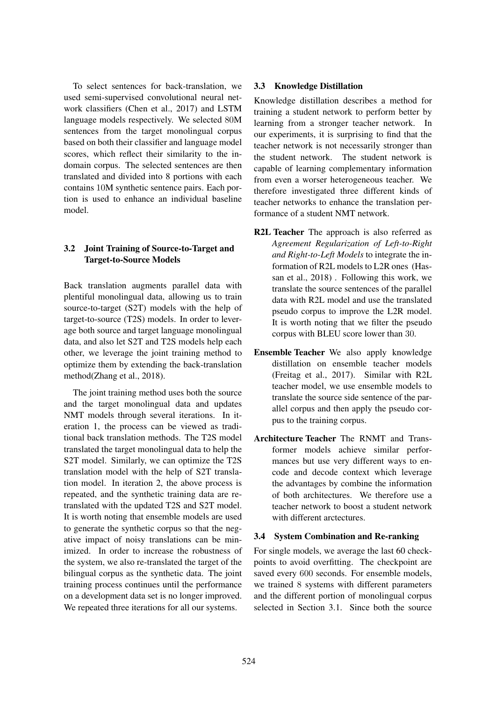To select sentences for back-translation, we used semi-supervised convolutional neural network classifiers (Chen et al., 2017) and LSTM language models respectively. We selected 80M sentences from the target monolingual corpus based on both their classifier and language model scores, which reflect their similarity to the indomain corpus. The selected sentences are then translated and divided into 8 portions with each contains 10M synthetic sentence pairs. Each portion is used to enhance an individual baseline model.

## 3.2 Joint Training of Source-to-Target and Target-to-Source Models

Back translation augments parallel data with plentiful monolingual data, allowing us to train source-to-target (S2T) models with the help of target-to-source (T2S) models. In order to leverage both source and target language monolingual data, and also let S2T and T2S models help each other, we leverage the joint training method to optimize them by extending the back-translation method(Zhang et al., 2018).

The joint training method uses both the source and the target monolingual data and updates NMT models through several iterations. In iteration 1, the process can be viewed as traditional back translation methods. The T2S model translated the target monolingual data to help the S2T model. Similarly, we can optimize the T2S translation model with the help of S2T translation model. In iteration 2, the above process is repeated, and the synthetic training data are retranslated with the updated T2S and S2T model. It is worth noting that ensemble models are used to generate the synthetic corpus so that the negative impact of noisy translations can be minimized. In order to increase the robustness of the system, we also re-translated the target of the bilingual corpus as the synthetic data. The joint training process continues until the performance on a development data set is no longer improved. We repeated three iterations for all our systems.

## 3.3 Knowledge Distillation

Knowledge distillation describes a method for training a student network to perform better by learning from a stronger teacher network. In our experiments, it is surprising to find that the teacher network is not necessarily stronger than the student network. The student network is capable of learning complementary information from even a worser heterogeneous teacher. We therefore investigated three different kinds of teacher networks to enhance the translation performance of a student NMT network.

- R2L Teacher The approach is also referred as *Agreement Regularization of Left-to-Right and Right-to-Left Models* to integrate the information of R2L models to L2R ones (Hassan et al., 2018) . Following this work, we translate the source sentences of the parallel data with R2L model and use the translated pseudo corpus to improve the L2R model. It is worth noting that we filter the pseudo corpus with BLEU score lower than 30.
- Ensemble Teacher We also apply knowledge distillation on ensemble teacher models (Freitag et al., 2017). Similar with R2L teacher model, we use ensemble models to translate the source side sentence of the parallel corpus and then apply the pseudo corpus to the training corpus.
- Architecture Teacher The RNMT and Transformer models achieve similar performances but use very different ways to encode and decode context which leverage the advantages by combine the information of both architectures. We therefore use a teacher network to boost a student network with different arctectures.

### 3.4 System Combination and Re-ranking

For single models, we average the last 60 checkpoints to avoid overfitting. The checkpoint are saved every 600 seconds. For ensemble models, we trained 8 systems with different parameters and the different portion of monolingual corpus selected in Section 3.1. Since both the source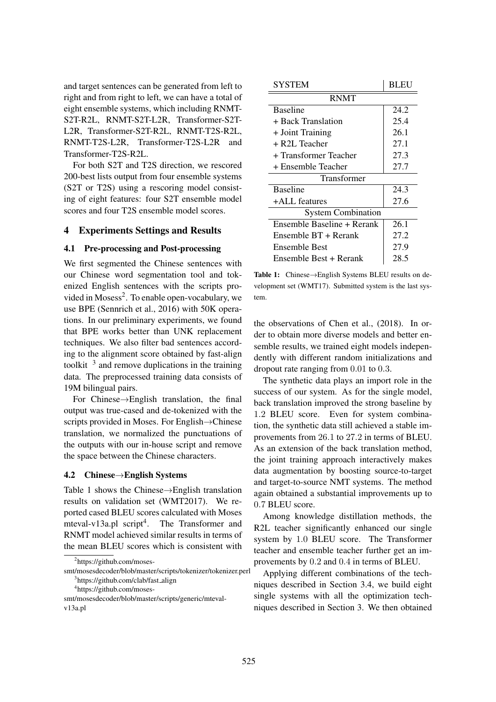and target sentences can be generated from left to right and from right to left, we can have a total of eight ensemble systems, which including RNMT-S2T-R2L, RNMT-S2T-L2R, Transformer-S2T-L2R, Transformer-S2T-R2L, RNMT-T2S-R2L, RNMT-T2S-L2R, Transformer-T2S-L2R and Transformer-T2S-R2L.

For both S2T and T2S direction, we rescored 200-best lists output from four ensemble systems (S2T or T2S) using a rescoring model consisting of eight features: four S2T ensemble model scores and four T2S ensemble model scores.

#### 4 Experiments Settings and Results

#### 4.1 Pre-processing and Post-processing

We first segmented the Chinese sentences with our Chinese word segmentation tool and tokenized English sentences with the scripts provided in Mosess<sup>2</sup>. To enable open-vocabulary, we use BPE (Sennrich et al., 2016) with 50K operations. In our preliminary experiments, we found that BPE works better than UNK replacement techniques. We also filter bad sentences according to the alignment score obtained by fast-align toolkit  $\beta$  and remove duplications in the training data. The preprocessed training data consists of 19M bilingual pairs.

For Chinese→English translation, the final output was true-cased and de-tokenized with the scripts provided in Moses. For English→Chinese translation, we normalized the punctuations of the outputs with our in-house script and remove the space between the Chinese characters.

#### 4.2 Chinese→English Systems

Table 1 shows the Chinese→English translation results on validation set (WMT2017). We reported cased BLEU scores calculated with Moses mteval-v13a.pl script<sup>4</sup>. The Transformer and RNMT model achieved similar results in terms of the mean BLEU scores which is consistent with

| SYSTEM                     | <b>BLEU</b> |  |
|----------------------------|-------------|--|
| <b>RNMT</b>                |             |  |
| <b>Baseline</b>            | 24.2        |  |
| + Back Translation         | 25.4        |  |
| + Joint Training           | 26.1        |  |
| $+$ R2L Teacher            | 27.1        |  |
| + Transformer Teacher      | 27.3        |  |
| + Ensemble Teacher         | 27.7        |  |
| Transformer                |             |  |
| <b>Baseline</b>            | 24.3        |  |
| +ALL features              | 27.6        |  |
| <b>System Combination</b>  |             |  |
| Ensemble Baseline + Rerank | 26.1        |  |
| Ensemble BT + Rerank       | 27.2        |  |
| Ensemble Best              | 27.9        |  |
| Ensemble Best + Rerank     | 28.5        |  |

Table 1: Chinese→English Systems BLEU results on development set (WMT17). Submitted system is the last system.

the observations of Chen et al., (2018). In order to obtain more diverse models and better ensemble results, we trained eight models independently with different random initializations and dropout rate ranging from 0.01 to 0.3.

The synthetic data plays an import role in the success of our system. As for the single model, back translation improved the strong baseline by 1.2 BLEU score. Even for system combination, the synthetic data still achieved a stable improvements from 26.1 to 27.2 in terms of BLEU. As an extension of the back translation method, the joint training approach interactively makes data augmentation by boosting source-to-target and target-to-source NMT systems. The method again obtained a substantial improvements up to 0.7 BLEU score.

Among knowledge distillation methods, the R2L teacher significantly enhanced our single system by 1.0 BLEU score. The Transformer teacher and ensemble teacher further get an improvements by 0.2 and 0.4 in terms of BLEU.

Applying different combinations of the techniques described in Section 3.4, we build eight single systems with all the optimization techniques described in Section 3. We then obtained

<sup>&</sup>lt;sup>2</sup>https://github.com/moses-

smt/mosesdecoder/blob/master/scripts/tokenizer/tokenizer.perl <sup>3</sup>https://github.com/clab/fast\_align

<sup>4</sup> https://github.com/moses-

smt/mosesdecoder/blob/master/scripts/generic/mtevalv13a.pl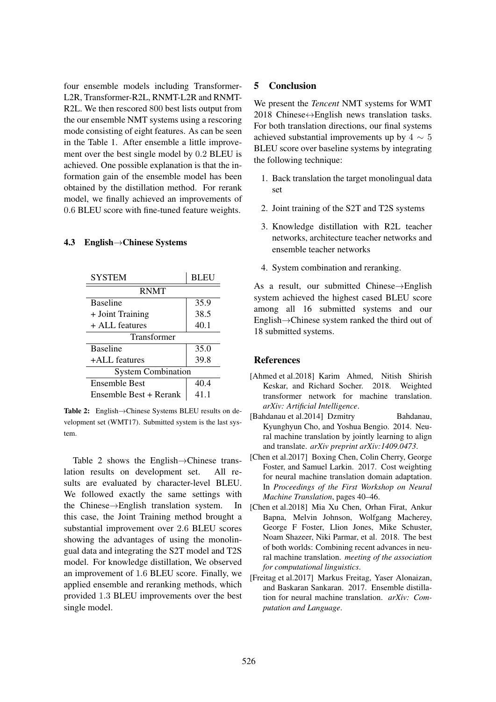four ensemble models including Transformer-L2R, Transformer-R2L, RNMT-L2R and RNMT-R2L. We then rescored 800 best lists output from the our ensemble NMT systems using a rescoring mode consisting of eight features. As can be seen in the Table 1. After ensemble a little improvement over the best single model by 0.2 BLEU is achieved. One possible explanation is that the information gain of the ensemble model has been obtained by the distillation method. For rerank model, we finally achieved an improvements of 0.6 BLEU score with fine-tuned feature weights.

### 4.3 English→Chinese Systems

| <b>SYSTEM</b>             | <b>BLEU</b> |  |
|---------------------------|-------------|--|
| <b>RNMT</b>               |             |  |
| <b>Baseline</b>           | 35.9        |  |
| + Joint Training          | 38.5        |  |
| $+$ ALL features          | 40.1        |  |
| Transformer               |             |  |
| <b>Baseline</b>           | 35.0        |  |
| +ALL features             | 39.8        |  |
| <b>System Combination</b> |             |  |
| <b>Ensemble Best</b>      | 40.4        |  |
| Ensemble Best + Rerank    | 41.1        |  |

Table 2: English→Chinese Systems BLEU results on development set (WMT17). Submitted system is the last system.

Table 2 shows the English $\rightarrow$ Chinese trans-<br>tion results on development set. All relation results on development set. sults are evaluated by character-level BLEU. We followed exactly the same settings with the Chinese→English translation system. In this case, the Joint Training method brought a substantial improvement over 2.6 BLEU scores showing the advantages of using the monolingual data and integrating the S2T model and T2S model. For knowledge distillation, We observed an improvement of 1.6 BLEU score. Finally, we applied ensemble and reranking methods, which provided 1.3 BLEU improvements over the best single model.

## 5 Conclusion

We present the *Tencent* NMT systems for WMT 2018 Chinese $\leftrightarrow$ English news translation tasks. For both translation directions, our final systems achieved substantial improvements up by  $4 \sim 5$ BLEU score over baseline systems by integrating the following technique:

- 1. Back translation the target monolingual data set
- 2. Joint training of the S2T and T2S systems
- 3. Knowledge distillation with R2L teacher networks, architecture teacher networks and ensemble teacher networks
- 4. System combination and reranking.

As a result, our submitted Chinese→English system achieved the highest cased BLEU score among all 16 submitted systems and our English→Chinese system ranked the third out of 18 submitted systems.

### References

- [Ahmed et al.2018] Karim Ahmed, Nitish Shirish Keskar, and Richard Socher. 2018. Weighted transformer network for machine translation. *arXiv: Artificial Intelligence*.
- [Bahdanau et al.2014] Dzmitry Bahdanau, Kyunghyun Cho, and Yoshua Bengio. 2014. Neural machine translation by jointly learning to align and translate. *arXiv preprint arXiv:1409.0473*.
- [Chen et al.2017] Boxing Chen, Colin Cherry, George Foster, and Samuel Larkin. 2017. Cost weighting for neural machine translation domain adaptation. In *Proceedings of the First Workshop on Neural Machine Translation*, pages 40–46.
- [Chen et al.2018] Mia Xu Chen, Orhan Firat, Ankur Bapna, Melvin Johnson, Wolfgang Macherey, George F Foster, Llion Jones, Mike Schuster, Noam Shazeer, Niki Parmar, et al. 2018. The best of both worlds: Combining recent advances in neural machine translation. *meeting of the association for computational linguistics*.
- [Freitag et al.2017] Markus Freitag, Yaser Alonaizan, and Baskaran Sankaran. 2017. Ensemble distillation for neural machine translation. *arXiv: Computation and Language*.